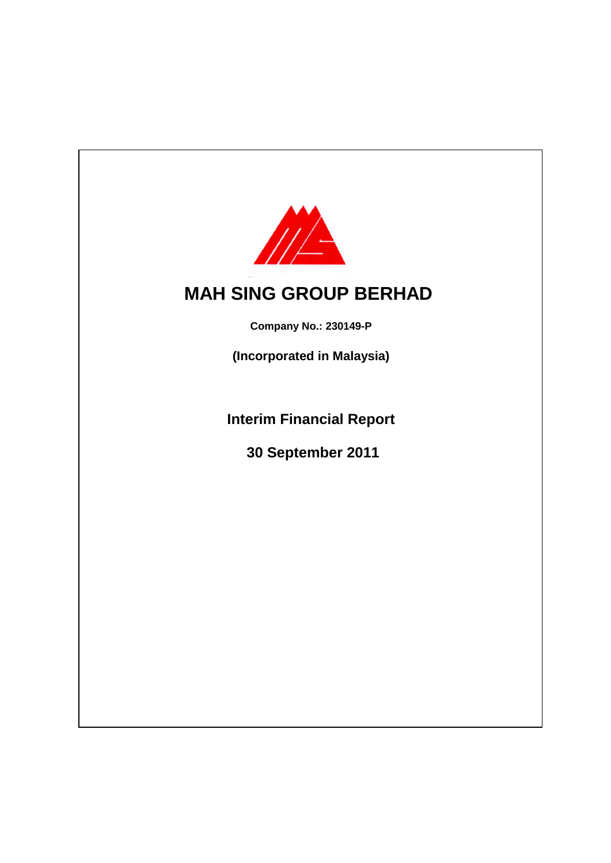

# **MAH SING GROUP BERHAD**

**Company No.: 230149-P**

**(Incorporated in Malaysia)**

**Interim Financial Report**

 **30 September 2011**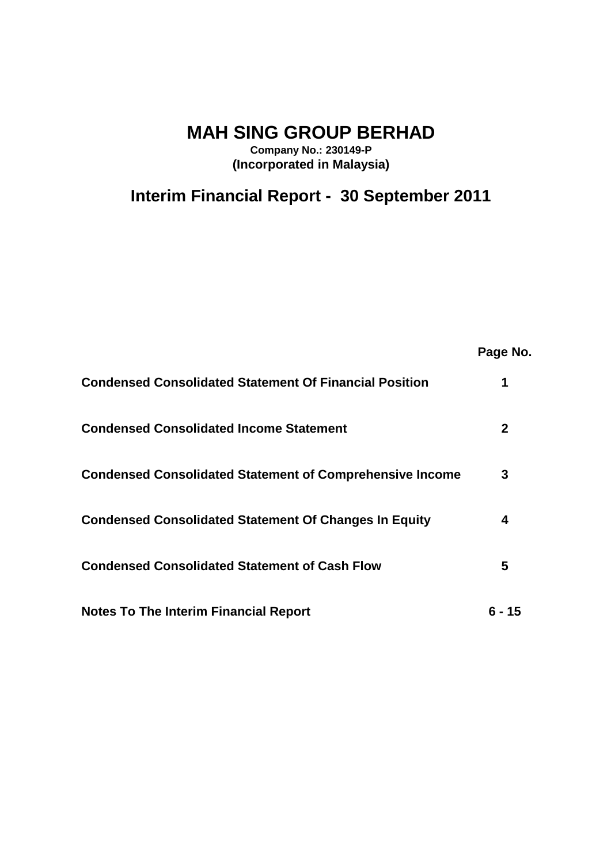**MAH SING GROUP BERHAD**

**Company No.: 230149-P (Incorporated in Malaysia)**

**Interim Financial Report - 30 September 2011**

|                                                                 | Page No.     |
|-----------------------------------------------------------------|--------------|
| <b>Condensed Consolidated Statement Of Financial Position</b>   | 1            |
| <b>Condensed Consolidated Income Statement</b>                  | $\mathbf{2}$ |
| <b>Condensed Consolidated Statement of Comprehensive Income</b> | 3            |
| <b>Condensed Consolidated Statement Of Changes In Equity</b>    | 4            |
| <b>Condensed Consolidated Statement of Cash Flow</b>            | 5            |
| <b>Notes To The Interim Financial Report</b>                    | ճ - 15       |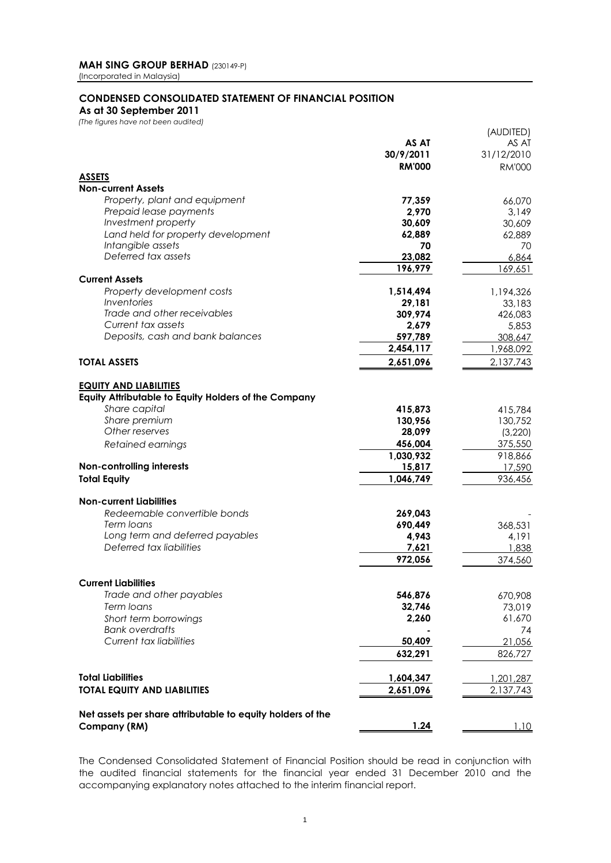### **CONDENSED CONSOLIDATED STATEMENT OF FINANCIAL POSITION**

**As at 30 September 2011**

*(The figures have not been audited)*

|                                                            |               | (AUDITED)              |
|------------------------------------------------------------|---------------|------------------------|
|                                                            | AS AT         | AS AT                  |
|                                                            | 30/9/2011     | 31/12/2010             |
|                                                            | <b>RM'000</b> | <b>RM'000</b>          |
| <b>ASSETS</b>                                              |               |                        |
| <b>Non-current Assets</b>                                  |               |                        |
| Property, plant and equipment                              | 77,359        | 66,070                 |
| Prepaid lease payments                                     | 2,970         | 3,149                  |
| Investment property                                        | 30,609        | 30,609                 |
| Land held for property development<br>Intangible assets    | 62,889        | 62,889                 |
| Deferred tax assets                                        | 70<br>23,082  | 70                     |
|                                                            | 196,979       | 6,864<br>169,651       |
| <b>Current Assets</b>                                      |               |                        |
| Property development costs                                 | 1,514,494     | 1,194,326              |
| <b>Inventories</b>                                         | 29,181        | 33,183                 |
| Trade and other receivables                                | 309,974       | 426,083                |
| Current tax assets                                         | 2,679         | 5,853                  |
| Deposits, cash and bank balances                           | 597,789       | 308,647                |
|                                                            | 2,454,117     | 1,968,092              |
| <b>TOTAL ASSETS</b>                                        | 2,651,096     | 2,137,743              |
|                                                            |               |                        |
| <b>EQUITY AND LIABILITIES</b>                              |               |                        |
| Equity Attributable to Equity Holders of the Company       |               |                        |
| Share capital                                              | 415,873       | 415,784                |
| Share premium                                              | 130,956       | 130,752                |
| Other reserves                                             | 28,099        | (3,220)                |
| Retained earnings                                          | 456,004       | 375,550                |
|                                                            | 1,030,932     | 918,866                |
| <b>Non-controlling interests</b>                           | 15,817        | 17,590                 |
| <b>Total Equity</b>                                        | 1,046,749     | 936,456                |
|                                                            |               |                        |
| <b>Non-current Liabilities</b>                             |               |                        |
| Redeemable convertible bonds                               | 269,043       |                        |
| Term loans                                                 | 690,449       | 368,531                |
| Long term and deferred payables                            | 4,943         | 4,191                  |
| Deferred tax liabilities                                   | 7,621         | 1,838                  |
|                                                            | 972,056       | 374,560                |
|                                                            |               |                        |
| <b>Current Liabilities</b>                                 |               |                        |
| Trade and other payables                                   | 546,876       | 670,908                |
| Term loans                                                 | 32,746        | 73,019                 |
| Short term borrowings                                      | 2,260         | 61,670                 |
| <b>Bank overdrafts</b>                                     |               | 74                     |
| <b>Current tax liabilities</b>                             | 50,409        | 21,056                 |
|                                                            | 632,291       | 826,727                |
| <b>Total Liabilities</b>                                   | 1,604,347     |                        |
| <b>TOTAL EQUITY AND LIABILITIES</b>                        | 2,651,096     | 1,201,287<br>2,137,743 |
|                                                            |               |                        |
| Net assets per share attributable to equity holders of the |               |                        |
| Company (RM)                                               | 1.24          | 1.10                   |
|                                                            |               |                        |

The Condensed Consolidated Statement of Financial Position should be read in conjunction with the audited financial statements for the financial year ended 31 December 2010 and the accompanying explanatory notes attached to the interim financial report.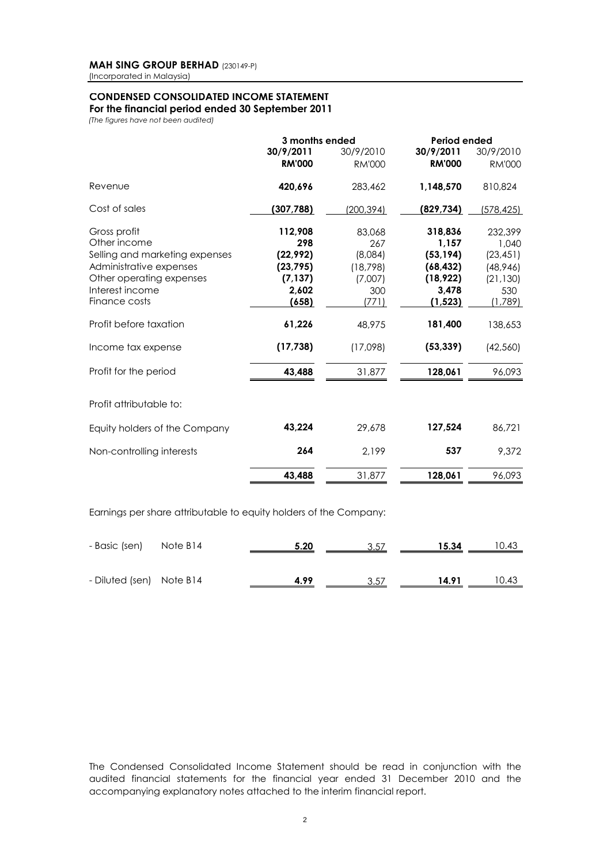### **CONDENSED CONSOLIDATED INCOME STATEMENT For the financial period ended 30 September 2011**

*(The figures have not been audited)*

|                                                                   | 3 months ended |               | Period ended  |               |  |  |  |  |
|-------------------------------------------------------------------|----------------|---------------|---------------|---------------|--|--|--|--|
|                                                                   | 30/9/2011      | 30/9/2010     | 30/9/2011     | 30/9/2010     |  |  |  |  |
|                                                                   | <b>RM'000</b>  | <b>RM'000</b> | <b>RM'000</b> | <b>RM'000</b> |  |  |  |  |
| Revenue                                                           | 420,696        | 283,462       | 1,148,570     | 810,824       |  |  |  |  |
| Cost of sales                                                     | (307, 788)     | (200,394)     | (829, 734)    | (578,425)     |  |  |  |  |
| Gross profit                                                      | 112,908        | 83,068        | 318,836       | 232,399       |  |  |  |  |
| Other income                                                      | 298            | 267           | 1,157         | 1,040         |  |  |  |  |
| Selling and marketing expenses                                    | (22, 992)      | (8,084)       | (53, 194)     | (23, 451)     |  |  |  |  |
| Administrative expenses                                           | (23, 795)      | (18, 798)     | (68, 432)     | (48, 946)     |  |  |  |  |
| Other operating expenses                                          | (7, 137)       | (7,007)       | (18, 922)     | (21, 130)     |  |  |  |  |
| Interest income                                                   | 2,602          | 300           | 3,478         | 530           |  |  |  |  |
| Finance costs                                                     | (658)          | (771)         | (1, 523)      | (1,789)       |  |  |  |  |
| Profit before taxation                                            | 61,226         | 48.975        | 181,400       | 138,653       |  |  |  |  |
| Income tax expense                                                | (17, 738)      | (17,098)      | (53, 339)     | (42, 560)     |  |  |  |  |
| Profit for the period                                             | 43,488         | 31,877        | 128,061       | 96,093        |  |  |  |  |
| Profit attributable to:                                           |                |               |               |               |  |  |  |  |
| Equity holders of the Company                                     | 43,224         | 29,678        | 127,524       | 86,721        |  |  |  |  |
| Non-controlling interests                                         | 264            | 2,199         | 537           | 9,372         |  |  |  |  |
|                                                                   | 43,488         | 31,877        | 128,061       | 96,093        |  |  |  |  |
| Earnings per share attributable to equity holders of the Company: |                |               |               |               |  |  |  |  |

| - Basic (sen) Note B14   | 5.20 | 3.57 | 15.34 | 10.43 |
|--------------------------|------|------|-------|-------|
| - Diluted (sen) Note B14 | 4.99 | 3.57 | 14.91 | 10.43 |

The Condensed Consolidated Income Statement should be read in conjunction with the audited financial statements for the financial year ended 31 December 2010 and the accompanying explanatory notes attached to the interim financial report.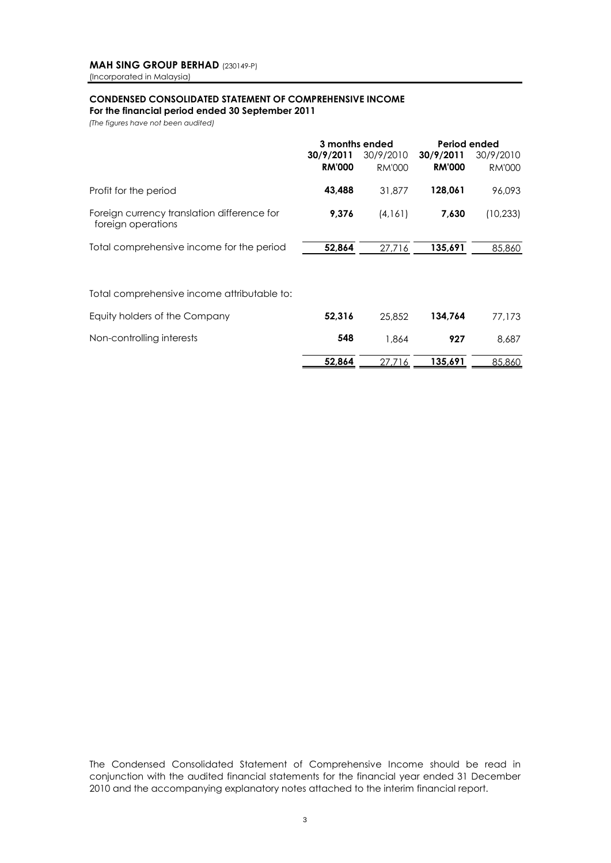### **CONDENSED CONSOLIDATED STATEMENT OF COMPREHENSIVE INCOME For the financial period ended 30 September 2011**

*(The figures have not been audited)*

|                                                                   | 3 months ended             |                            | Period ended               |                            |
|-------------------------------------------------------------------|----------------------------|----------------------------|----------------------------|----------------------------|
|                                                                   | 30/9/2011<br><b>RM'000</b> | 30/9/2010<br><b>RM'000</b> | 30/9/2011<br><b>RM'000</b> | 30/9/2010<br><b>RM'000</b> |
| Profit for the period                                             | 43.488                     | 31.877                     | 128.061                    | 96.093                     |
| Foreign currency translation difference for<br>foreign operations | 9.376                      | (4.161)                    | 7,630                      | (10.233)                   |
| Total comprehensive income for the period                         | 52,864                     | 27.716                     | 135,691                    | 85,860                     |
| Total comprehensive income attributable to:                       |                            |                            |                            |                            |

| Equity holders of the Company | 52.316 | 25.852 | 134.764 | 77.173 |
|-------------------------------|--------|--------|---------|--------|
| Non-controlling interests     | 548    | 864.   | 927     | 8,687  |
|                               | 52.864 | 27.716 | 135,691 | 85,860 |

The Condensed Consolidated Statement of Comprehensive Income should be read in conjunction with the audited financial statements for the financial year ended 31 December 2010 and the accompanying explanatory notes attached to the interim financial report.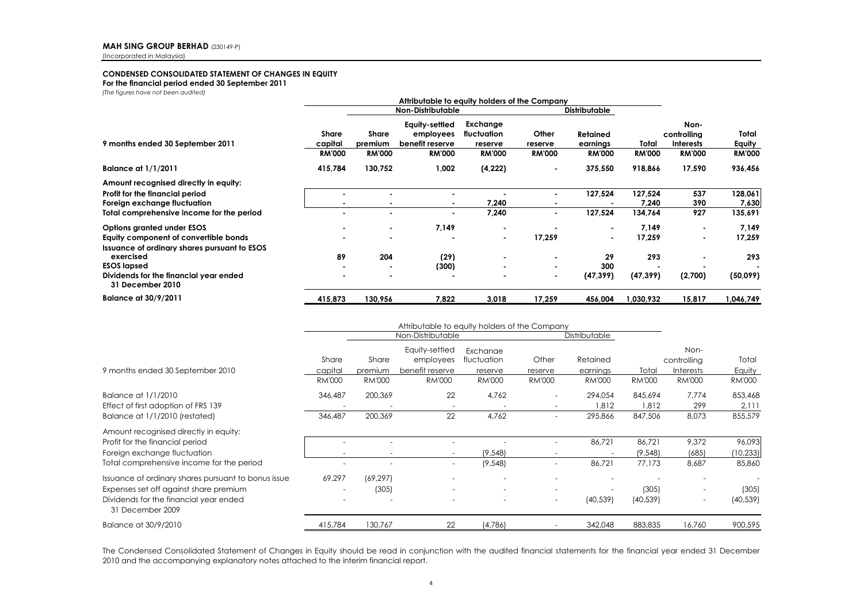### **CONDENSED CONSOLIDATED STATEMENT OF CHANGES IN EQUITY**

**For the financial period ended 30 September 2011**

*(The figures have not been audited)*

| inc rigores nave nor been abanca,                                                                                                                                                                       | Attributable to equity holders of the Company |                                   |                                                                 |                                                     |                                     |                                                                                |                                     |                                                          |                                    |
|---------------------------------------------------------------------------------------------------------------------------------------------------------------------------------------------------------|-----------------------------------------------|-----------------------------------|-----------------------------------------------------------------|-----------------------------------------------------|-------------------------------------|--------------------------------------------------------------------------------|-------------------------------------|----------------------------------------------------------|------------------------------------|
|                                                                                                                                                                                                         | <b>Non-Distributable</b>                      |                                   |                                                                 |                                                     | <b>Distributable</b>                |                                                                                |                                     |                                                          |                                    |
| 9 months ended 30 September 2011                                                                                                                                                                        | <b>Share</b><br>capital<br><b>RM'000</b>      | Share<br>premium<br><b>RM'000</b> | Equity-settled<br>employees<br>benefit reserve<br><b>RM'000</b> | Exchange<br>fluctuation<br>reserve<br><b>RM'000</b> | Other<br>reserve<br><b>RM'000</b>   | <b>Retained</b><br>earnings<br><b>RM'000</b>                                   | Total<br><b>RM'000</b>              | Non-<br>controlling<br><b>Interests</b><br><b>RM'000</b> | Total<br>Equity<br><b>RM'000</b>   |
| Balance at 1/1/2011                                                                                                                                                                                     | 415,784                                       | 130,752                           | 1,002                                                           | (4,222)                                             |                                     | 375,550                                                                        | 918,866                             | 17,590                                                   | 936,456                            |
| Amount recognised directly in equity:<br>Profit for the financial period<br>Foreign exchange fluctuation<br>Total comprehensive income for the period                                                   | ۰                                             |                                   |                                                                 | 7,240<br>7,240                                      | ٠<br>$\overline{\phantom{a}}$       | 127,524<br>127,524                                                             | 127.524<br>7,240<br>134,764         | 537<br>390<br>927                                        | 128,061<br>7,630<br>135,691        |
| Options granted under ESOS<br>Equity component of convertible bonds<br><b>Issuance of ordinary shares pursuant to ESOS</b><br>exercised<br><b>ESOS lapsed</b><br>Dividends for the financial year ended | ۰<br>89<br>۰<br>۰                             | ٠<br>۰<br>204<br>٠                | 7,149<br>(29)<br>(300)                                          | ۰<br>۰<br>۰                                         | 17,259<br>٠<br>$\blacksquare$<br>۰. | $\overline{\phantom{a}}$<br>$\overline{\phantom{a}}$<br>29<br>300<br>(47, 399) | 7,149<br>17,259<br>293<br>(47, 399) | (2,700)                                                  | 7,149<br>17,259<br>293<br>(50,099) |
| 31 December 2010<br><b>Balance at 30/9/2011</b>                                                                                                                                                         | 415,873                                       | 130,956                           | 7,822                                                           | 3,018                                               | 17,259                              | 456,004                                                                        | 1,030,932                           | 15,817                                                   | ,046,749                           |

|                                                                                                                                                             | Attributable to equity holders of the Company |                          |                                  |                          |                          |                           |                        |                                   |                         |
|-------------------------------------------------------------------------------------------------------------------------------------------------------------|-----------------------------------------------|--------------------------|----------------------------------|--------------------------|--------------------------|---------------------------|------------------------|-----------------------------------|-------------------------|
|                                                                                                                                                             | Non-Distributable                             |                          |                                  |                          |                          | Distributable             |                        |                                   |                         |
|                                                                                                                                                             | Share                                         | Share                    | Equity-settled<br>employees      | Exchanae<br>fluctuation  | Other                    | Retained                  |                        | Non-<br>controlling               | Total                   |
| 9 months ended 30 September 2010                                                                                                                            | capital<br><b>RM'000</b>                      | premium<br><b>RM'000</b> | benefit reserve<br><b>RM'000</b> | reserve<br><b>RM'000</b> | reserve<br><b>RM'000</b> | earnings<br><b>RM'000</b> | Total<br><b>RM'000</b> | <b>Interests</b><br><b>RM'000</b> | Equity<br><b>RM'000</b> |
| Balance at 1/1/2010<br>Effect of first adoption of FRS 139                                                                                                  | 346,487                                       | 200,369                  | 22                               | 4,762                    | $\overline{\phantom{a}}$ | 294,054<br>1,812          | 845,694<br>1,812       | 7,774<br>299                      | 853,468<br>2,111        |
| Balance at 1/1/2010 (restated)                                                                                                                              | 346,487                                       | 200,369                  | 22                               | 4,762                    | ٠                        | 295,866                   | 847,506                | 8,073                             | 855,579                 |
| Amount recognised directly in equity:<br>Profit for the financial period<br>Foreign exchange fluctuation                                                    |                                               |                          | $\overline{\phantom{0}}$         | (9,548)                  |                          | 86,721                    | 86,721<br>(9,548)      | 9,372<br>(685)                    | 96,093<br>(10, 233)     |
| Total comprehensive income for the period                                                                                                                   |                                               |                          | $\overline{\phantom{a}}$         | (9,548)                  | ٠                        | 86,721                    | 77.173                 | 8,687                             | 85,860                  |
| Issuance of ordinary shares pursuant to bonus issue<br>Expenses set off against share premium<br>Dividends for the financial year ended<br>31 December 2009 | 69,297                                        | (69, 297)<br>(305)       | -                                |                          | $\overline{\phantom{a}}$ | (40, 539)                 | (305)<br>(40, 539)     | $\overline{\phantom{a}}$          | (305)<br>(40, 539)      |
| Balance at 30/9/2010                                                                                                                                        | 415,784                                       | 130,767                  | 22                               | (4,786)                  |                          | 342,048                   | 883,835                | 16,760                            | 900,595                 |

The Condensed Consolidated Statement of Changes in Equity should be read in conjunction with the audited financial statements for the financial year ended 31 December 2010 and the accompanying explanatory notes attached to the interim financial report.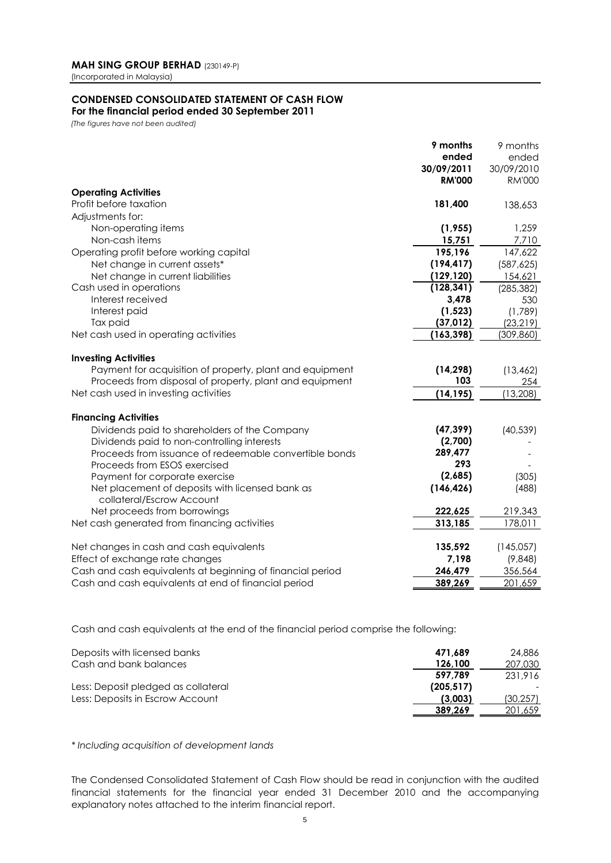# **CONDENSED CONSOLIDATED STATEMENT OF CASH FLOW**

## **For the financial period ended 30 September 2011**

*(The figures have not been audited)*

|                                                            | 9 months      | 9 months      |
|------------------------------------------------------------|---------------|---------------|
|                                                            | ended         | ended         |
|                                                            | 30/09/2011    | 30/09/2010    |
|                                                            | <b>RM'000</b> | <b>RM'000</b> |
| <b>Operating Activities</b>                                |               |               |
| Profit before taxation                                     | 181,400       | 138,653       |
| Adjustments for:                                           |               |               |
| Non-operating items                                        | (1, 955)      | 1,259         |
| Non-cash items                                             | 15,751        | 7,710         |
| Operating profit before working capital                    | 195,196       | 147,622       |
| Net change in current assets*                              | (194, 417)    | (587, 625)    |
| Net change in current liabilities                          | (129, 120)    | 154,621       |
| Cash used in operations                                    | (128, 341)    | (285, 382)    |
| Interest received                                          | 3,478         | 530           |
| Interest paid                                              | (1, 523)      | (1,789)       |
| Tax paid                                                   | (37, 012)     | (23, 219)     |
| Net cash used in operating activities                      | (163, 398)    | (309, 860)    |
|                                                            |               |               |
| <b>Investing Activities</b>                                |               |               |
| Payment for acquisition of property, plant and equipment   | (14, 298)     | (13, 462)     |
| Proceeds from disposal of property, plant and equipment    | 103           | 254           |
| Net cash used in investing activities                      | (14, 195)     | (13, 208)     |
|                                                            |               |               |
| <b>Financing Activities</b>                                |               |               |
| Dividends paid to shareholders of the Company              | (47, 399)     | (40, 539)     |
| Dividends paid to non-controlling interests                | (2,700)       |               |
| Proceeds from issuance of redeemable convertible bonds     | 289,477       |               |
| Proceeds from ESOS exercised                               | 293           |               |
| Payment for corporate exercise                             | (2,685)       | (305)         |
| Net placement of deposits with licensed bank as            | (146, 426)    | (488)         |
| collateral/Escrow Account                                  |               |               |
| Net proceeds from borrowings                               | 222,625       | 219,343       |
| Net cash generated from financing activities               | 313,185       | 178,011       |
|                                                            |               |               |
| Net changes in cash and cash equivalents                   | 135,592       | (145,057)     |
| Effect of exchange rate changes                            | 7,198         | (9,848)       |
| Cash and cash equivalents at beginning of financial period | 246,479       | 356,564       |
| Cash and cash equivalents at end of financial period       | 389,269       | 201,659       |
|                                                            |               |               |

Cash and cash equivalents at the end of the financial period comprise the following:

| Deposits with licensed banks        | 471.689    | 24.886    |
|-------------------------------------|------------|-----------|
| Cash and bank balances              | 126,100    | 207,030   |
|                                     | 597.789    | 231.916   |
| Less: Deposit pledged as collateral | (205, 517) |           |
| Less: Deposits in Escrow Account    | (3.003)    | (30, 257) |
|                                     | 389.269    | 201.659   |

*\* Including acquisition of development lands*

The Condensed Consolidated Statement of Cash Flow should be read in conjunction with the audited financial statements for the financial year ended 31 December 2010 and the accompanying explanatory notes attached to the interim financial report.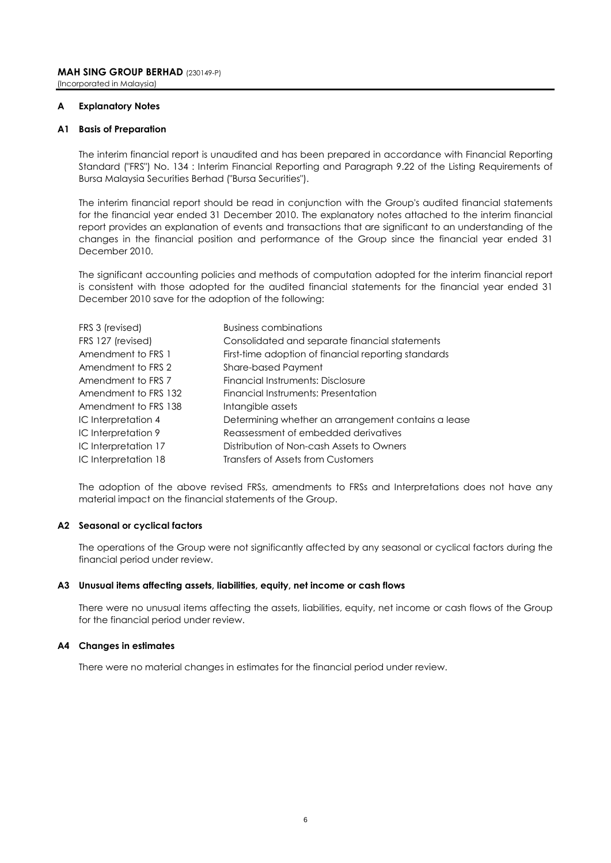### **A Explanatory Notes**

### **A1 Basis of Preparation**

The interim financial report is unaudited and has been prepared in accordance with Financial Reporting Standard ("FRS") No. 134 : Interim Financial Reporting and Paragraph 9.22 of the Listing Requirements of Bursa Malaysia Securities Berhad ("Bursa Securities").

The interim financial report should be read in conjunction with the Group's audited financial statements for the financial year ended 31 December 2010. The explanatory notes attached to the interim financial report provides an explanation of events and transactions that are significant to an understanding of the changes in the financial position and performance of the Group since the financial year ended 31 December 2010.

The significant accounting policies and methods of computation adopted for the interim financial report is consistent with those adopted for the audited financial statements for the financial year ended 31 December 2010 save for the adoption of the following:

| FRS 3 (revised)      | <b>Business combinations</b>                         |
|----------------------|------------------------------------------------------|
| FRS 127 (revised)    | Consolidated and separate financial statements       |
| Amendment to FRS 1   | First-time adoption of financial reporting standards |
| Amendment to FRS 2   | <b>Share-based Payment</b>                           |
| Amendment to FRS 7   | Financial Instruments: Disclosure                    |
| Amendment to FRS 132 | Financial Instruments: Presentation                  |
| Amendment to FRS 138 | Intangible assets                                    |
| IC Interpretation 4  | Determining whether an arrangement contains a lease  |
| IC Interpretation 9  | Reassessment of embedded derivatives                 |
| IC Interpretation 17 | Distribution of Non-cash Assets to Owners            |
| IC Interpretation 18 | Transfers of Assets from Customers                   |

The adoption of the above revised FRSs, amendments to FRSs and Interpretations does not have any material impact on the financial statements of the Group.

### **A2 Seasonal or cyclical factors**

The operations of the Group were not significantly affected by any seasonal or cyclical factors during the financial period under review.

### **A3 Unusual items affecting assets, liabilities, equity, net income or cash flows**

There were no unusual items affecting the assets, liabilities, equity, net income or cash flows of the Group for the financial period under review.

### **A4 Changes in estimates**

There were no material changes in estimates for the financial period under review.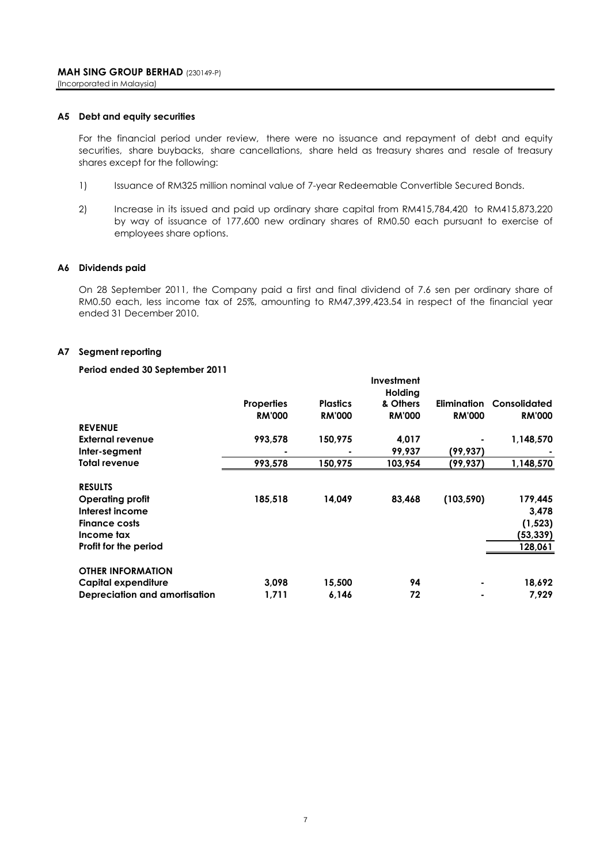### **A5 Debt and equity securities**

For the financial period under review, there were no issuance and repayment of debt and equity securities, share buybacks, share cancellations, share held as treasury shares and resale of treasury shares except for the following:

- 1) Issuance of RM325 million nominal value of 7-year Redeemable Convertible Secured Bonds.
- 2) Increase in its issued and paid up ordinary share capital from RM415,784,420 to RM415,873,220 by way of issuance of 177,600 new ordinary shares of RM0.50 each pursuant to exercise of employees share options.

### **A6 Dividends paid**

On 28 September 2011, the Company paid a first and final dividend of 7.6 sen per ordinary share of RM0.50 each, less income tax of 25%, amounting to RM47,399,423.54 in respect of the financial year ended 31 December 2010.

**Investment**

### **A7 Segment reporting**

### **Period ended 30 September 2011**

|                               |                   |                 | шуезинеш<br>Holding |                    |               |
|-------------------------------|-------------------|-----------------|---------------------|--------------------|---------------|
|                               | <b>Properties</b> | <b>Plastics</b> | & Others            | <b>Elimination</b> | Consolidated  |
|                               | <b>RM'000</b>     | <b>RM'000</b>   | <b>RM'000</b>       | <b>RM'000</b>      | <b>RM'000</b> |
| <b>REVENUE</b>                |                   |                 |                     |                    |               |
| <b>External revenue</b>       | 993,578           | 150,975         | 4,017               |                    | 1,148,570     |
| Inter-segment                 |                   |                 | 99,937              | (99,937)           |               |
| Total revenue                 | 993,578           | 150,975         | 103,954             | (99,937)           | 1,148,570     |
| <b>RESULTS</b>                |                   |                 |                     |                    |               |
| <b>Operating profit</b>       | 185,518           | 14,049          | 83,468              | (103, 590)         | 179,445       |
| Interest income               |                   |                 |                     |                    | 3,478         |
| <b>Finance costs</b>          |                   |                 |                     |                    | (1, 523)      |
| Income tax                    |                   |                 |                     |                    | (53, 339)     |
| Profit for the period         |                   |                 |                     |                    | 128,061       |
| <b>OTHER INFORMATION</b>      |                   |                 |                     |                    |               |
| <b>Capital expenditure</b>    | 3,098             | 15,500          | 94                  |                    | 18,692        |
| Depreciation and amortisation | 1,711             | 6,146           | 72                  |                    | 7,929         |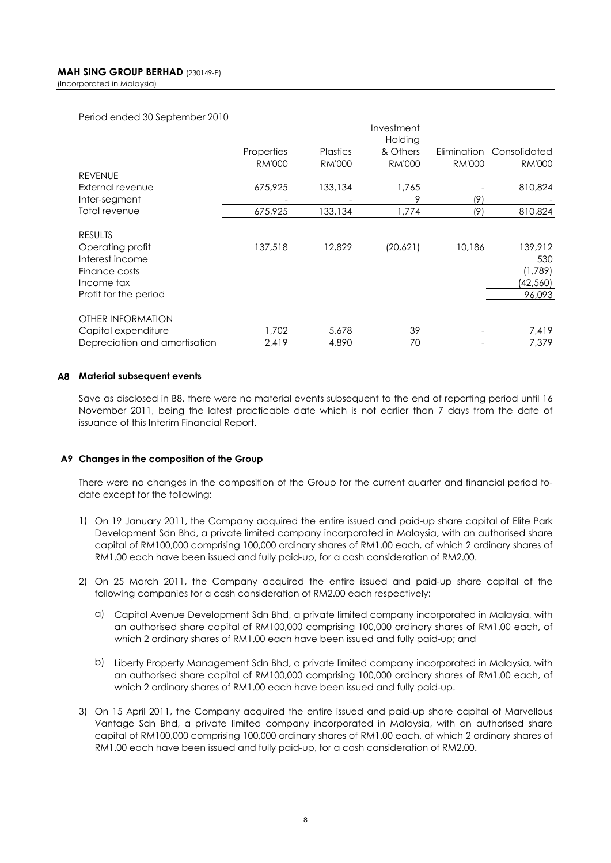Period ended 30 September 2010

|                               |               |               | Investment<br>Holding |               |               |
|-------------------------------|---------------|---------------|-----------------------|---------------|---------------|
|                               | Properties    | Plastics      | & Others              | Elimination   | Consolidated  |
|                               | <b>RM'000</b> | <b>RM'000</b> | <b>RM'000</b>         | <b>RM'000</b> | <b>RM'000</b> |
| <b>REVENUE</b>                |               |               |                       |               |               |
| External revenue              | 675,925       | 133,134       | 1,765                 |               | 810,824       |
| Inter-segment                 |               |               | 9                     | 191           |               |
| Total revenue                 | 675,925       | 133,134       | ,774                  | (9)           | 810,824       |
| <b>RESULTS</b>                |               |               |                       |               |               |
| Operating profit              | 137,518       | 12,829        | (20,621)              | 10,186        | 139,912       |
| Interest income               |               |               |                       |               | 530           |
| Finance costs                 |               |               |                       |               | (1,789)       |
| Income tax                    |               |               |                       |               | (42,560)      |
| Profit for the period         |               |               |                       |               | 96,093        |
| <b>OTHER INFORMATION</b>      |               |               |                       |               |               |
| Capital expenditure           | 1,702         | 5,678         | 39                    |               | 7,419         |
| Depreciation and amortisation | 2,419         | 4,890         | 70                    |               | 7,379         |

### **A8 Material subsequent events**

Save as disclosed in B8, there were no material events subsequent to the end of reporting period until 16 November 2011, being the latest practicable date which is not earlier than 7 days from the date of issuance of this Interim Financial Report.

### **A9 Changes in the composition of the Group**

There were no changes in the composition of the Group for the current quarter and financial period todate except for the following:

- 1) On 19 January 2011, the Company acquired the entire issued and paid-up share capital of Elite Park Development Sdn Bhd, a private limited company incorporated in Malaysia, with an authorised share capital of RM100,000 comprising 100,000 ordinary shares of RM1.00 each, of which 2 ordinary shares of RM1.00 each have been issued and fully paid-up, for a cash consideration of RM2.00.
- 2) On 25 March 2011, the Company acquired the entire issued and paid-up share capital of the following companies for a cash consideration of RM2.00 each respectively:
	- a) Capitol Avenue Development Sdn Bhd, a private limited company incorporated in Malaysia, with an authorised share capital of RM100,000 comprising 100,000 ordinary shares of RM1.00 each, of which 2 ordinary shares of RM1.00 each have been issued and fully paid-up; and
	- b) Liberty Property Management Sdn Bhd, a private limited company incorporated in Malaysia, with an authorised share capital of RM100,000 comprising 100,000 ordinary shares of RM1.00 each, of which 2 ordinary shares of RM1.00 each have been issued and fully paid-up.
- 3) On 15 April 2011, the Company acquired the entire issued and paid-up share capital of Marvellous Vantage Sdn Bhd, a private limited company incorporated in Malaysia, with an authorised share capital of RM100,000 comprising 100,000 ordinary shares of RM1.00 each, of which 2 ordinary shares of RM1.00 each have been issued and fully paid-up, for a cash consideration of RM2.00.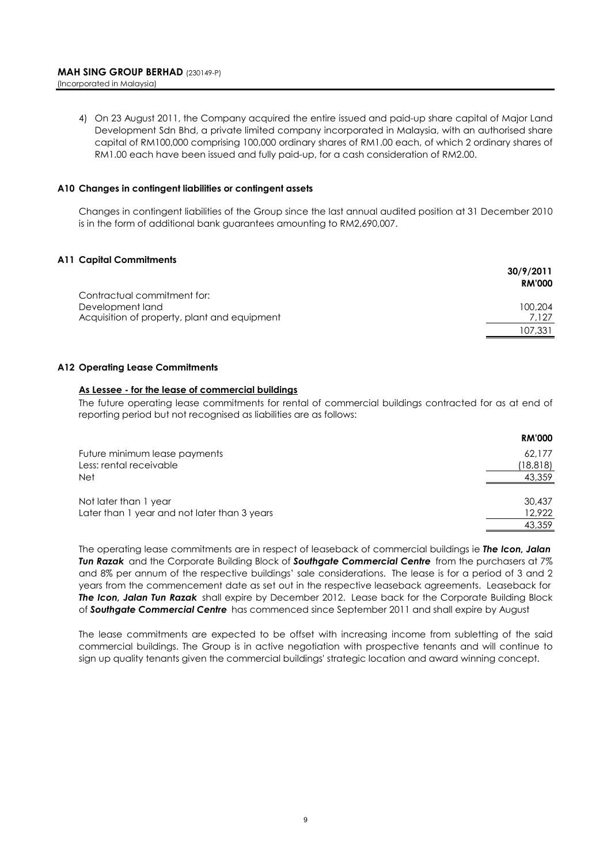4) On 23 August 2011, the Company acquired the entire issued and paid-up share capital of Major Land Development Sdn Bhd, a private limited company incorporated in Malaysia, with an authorised share capital of RM100,000 comprising 100,000 ordinary shares of RM1.00 each, of which 2 ordinary shares of RM1.00 each have been issued and fully paid-up, for a cash consideration of RM2.00.

### **A10 Changes in contingent liabilities or contingent assets**

Changes in contingent liabilities of the Group since the last annual audited position at 31 December 2010 is in the form of additional bank guarantees amounting to RM2,690,007.

### **A11 Capital Commitments**

|                                              | 30/9/2011     |
|----------------------------------------------|---------------|
|                                              | <b>RM'000</b> |
| Contractual commitment for:                  |               |
| Development land                             | 100.204       |
| Acquisition of property, plant and equipment | 7.127         |
|                                              | 107.331       |
|                                              |               |

### **A12 Operating Lease Commitments**

### **As Lessee - for the lease of commercial buildings**

The future operating lease commitments for rental of commercial buildings contracted for as at end of reporting period but not recognised as liabilities are as follows:

|                                              | <b>RM'000</b> |
|----------------------------------------------|---------------|
| Future minimum lease payments                | 62.177        |
| Less: rental receivable                      | (18,818)      |
| <b>Net</b>                                   | 43,359        |
|                                              |               |
| Not later than 1 year                        | 30,437        |
| Later than 1 year and not later than 3 years | 12,922        |
|                                              | 43,359        |

The operating lease commitments are in respect of leaseback of commercial buildings ie *The Icon, Jalan Tun Razak* and the Corporate Building Block of *Southgate Commercial Centre* from the purchasers at 7% and 8% per annum of the respective buildings' sale considerations. The lease is for a period of 3 and 2 years from the commencement date as set out in the respective leaseback agreements. Leaseback for *The Icon, Jalan Tun Razak* shall expire by December 2012. Lease back for the Corporate Building Block of *Southgate Commercial Centre* has commenced since September 2011 and shall expire by August

The lease commitments are expected to be offset with increasing income from subletting of the said commercial buildings. The Group is in active negotiation with prospective tenants and will continue to sign up quality tenants given the commercial buildings' strategic location and award winning concept.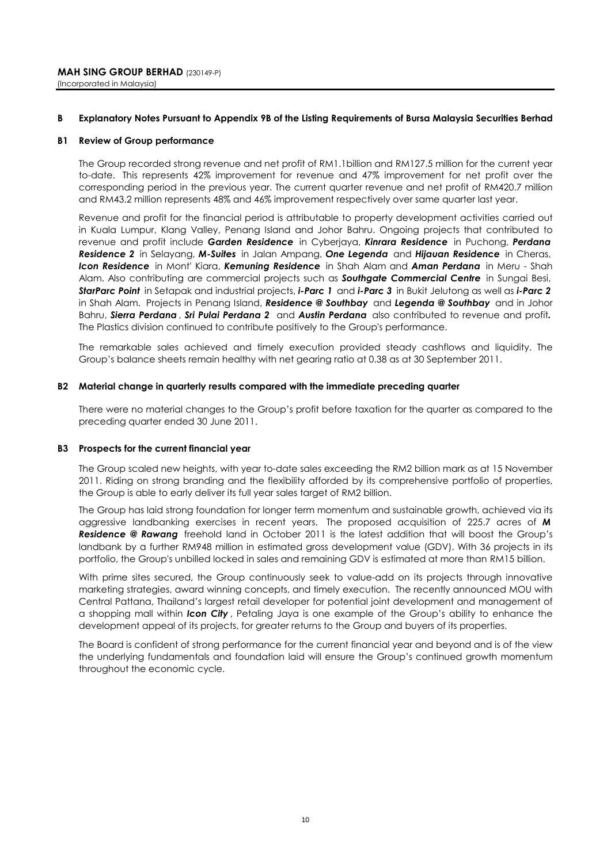#### **B Explanatory Notes Pursuant to Appendix 9B of the Listing Requirements of Bursa Malaysia Securities Berhad**

### **B1 Review of Group performance**

The Group recorded strong revenue and net profit of RM1.1billion and RM127.5 million for the current year to-date. This represents 42% improvement for revenue and 47% improvement for net profit over the corresponding period in the previous year. The current quarter revenue and net profit of RM420.7 million and RM43.2 million represents 48% and 46% improvement respectively over same quarter last year.

Revenue and profit for the financial period is attributable to property development activities carried out in Kuala Lumpur, Klang Valley, Penang Island and Johor Bahru. Ongoing projects that contributed to revenue and profit include *Garden Residence* in Cyberjaya, *Kinrara Residence* in Puchong, *Perdana Residence 2* in Selayang, *M-Suites* in Jalan Ampang, *One Legenda* and *Hijauan Residence* in Cheras, *Icon Residence* in Mont' Kiara, *Kemuning Residence* in Shah Alam and *Aman Perdana* in Meru - Shah Alam. Also contributing are commercial projects such as *Southgate Commercial Centre* in Sungai Besi, *StarParc Point* in Setapak and industrial projects, *i-Parc 1* and *i-Parc 3* in Bukit Jelutong as well as *i-Parc 2*  in Shah Alam. Projects in Penang Island, *Residence @ Southbay* and *Legenda @ Southbay* and in Johor Bahru, *Sierra Perdana* , *Sri Pulai Perdana 2* and *Austin Perdana* also contributed to revenue and profit*.*  The Plastics division continued to contribute positively to the Group's performance.

The remarkable sales achieved and timely execution provided steady cashflows and liquidity. The Group's balance sheets remain healthy with net gearing ratio at 0.38 as at 30 September 2011.

### **B2 Material change in quarterly results compared with the immediate preceding quarter**

There were no material changes to the Group's profit before taxation for the quarter as compared to the preceding quarter ended 30 June 2011.

### **B3 Prospects for the current financial year**

The Group scaled new heights, with year to-date sales exceeding the RM2 billion mark as at 15 November 2011. Riding on strong branding and the flexibility afforded by its comprehensive portfolio of properties, the Group is able to early deliver its full year sales target of RM2 billion.

The Group has laid strong foundation for longer term momentum and sustainable growth, achieved via its aggressive landbanking exercises in recent years. The proposed acquisition of 225.7 acres of *M Residence @ Rawang* freehold land in October 2011 is the latest addition that will boost the Group's landbank by a further RM948 million in estimated gross development value (GDV). With 36 projects in its portfolio, the Group's unbilled locked in sales and remaining GDV is estimated at more than RM15 billion.

With prime sites secured, the Group continuously seek to value-add on its projects through innovative marketing strategies, award winning concepts, and timely execution. The recently announced MOU with Central Pattana, Thailand's largest retail developer for potential joint development and management of a shopping mall within *Icon City* , Petaling Jaya is one example of the Group's ability to enhance the development appeal of its projects, for greater returns to the Group and buyers of its properties.

The Board is confident of strong performance for the current financial year and beyond and is of the view the underlying fundamentals and foundation laid will ensure the Group's continued growth momentum throughout the economic cycle.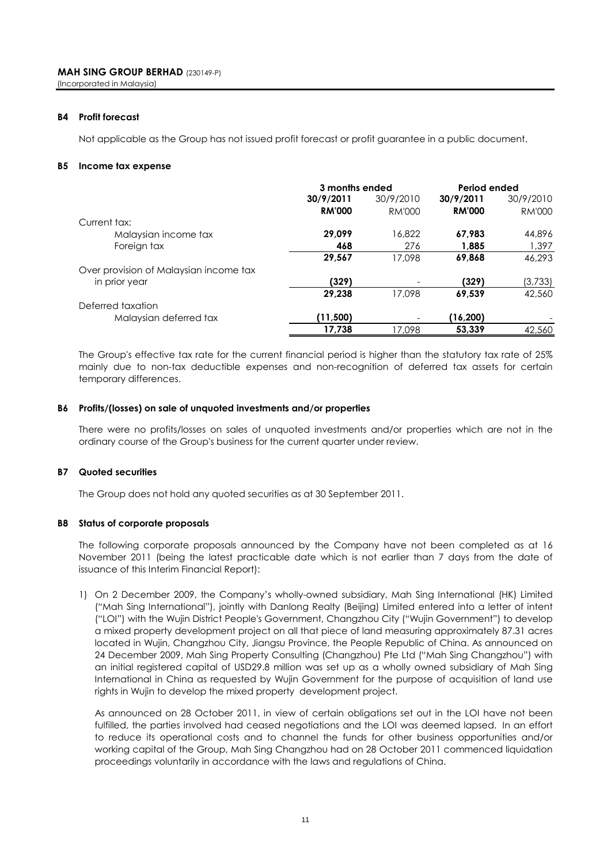### **B4 Profit forecast**

Not applicable as the Group has not issued profit forecast or profit guarantee in a public document.

### **B5 Income tax expense**

|                                        | 3 months ended |           | Period ended  |               |
|----------------------------------------|----------------|-----------|---------------|---------------|
|                                        | 30/9/2011      | 30/9/2010 | 30/9/2011     | 30/9/2010     |
|                                        | <b>RM'000</b>  | RM'000    | <b>RM'000</b> | <b>RM'000</b> |
| Current tax:                           |                |           |               |               |
| Malaysian income tax                   | 29,099         | 16.822    | 67,983        | 44,896        |
| Foreign tax                            | 468            | 276       | 1,885         | 1.397         |
|                                        | 29,567         | 17.098    | 69,868        | 46.293        |
| Over provision of Malaysian income tax |                |           |               |               |
| in prior year                          | (329)          |           | (329)         | (3,733)       |
|                                        | 29,238         | 17.098    | 69,539        | 42,560        |
| Deferred taxation                      |                |           |               |               |
| Malaysian deferred tax                 | (11,500)       |           | (16, 200)     |               |
|                                        | 17,738         | 17.098    | 53,339        | 42,560        |

The Group's effective tax rate for the current financial period is higher than the statutory tax rate of 25% mainly due to non-tax deductible expenses and non-recognition of deferred tax assets for certain temporary differences.

### **B6 Profits/(losses) on sale of unquoted investments and/or properties**

There were no profits/losses on sales of unquoted investments and/or properties which are not in the ordinary course of the Group's business for the current quarter under review.

### **B7 Quoted securities**

The Group does not hold any quoted securities as at 30 September 2011.

### **B8 Status of corporate proposals**

The following corporate proposals announced by the Company have not been completed as at 16 November 2011 (being the latest practicable date which is not earlier than 7 days from the date of issuance of this Interim Financial Report):

1) On 2 December 2009, the Company's wholly-owned subsidiary, Mah Sing International (HK) Limited ("Mah Sing International"), jointly with Danlong Realty (Beijing) Limited entered into a letter of intent ("LOI") with the Wujin District People's Government, Changzhou City ("Wujin Government") to develop a mixed property development project on all that piece of land measuring approximately 87.31 acres located in Wujin, Changzhou City, Jiangsu Province, the People Republic of China. As announced on 24 December 2009, Mah Sing Property Consulting (Changzhou) Pte Ltd ("Mah Sing Changzhou") with an initial registered capital of USD29.8 million was set up as a wholly owned subsidiary of Mah Sing International in China as requested by Wujin Government for the purpose of acquisition of land use rights in Wujin to develop the mixed property development project.

As announced on 28 October 2011, in view of certain obligations set out in the LOI have not been fulfilled, the parties involved had ceased negotiations and the LOI was deemed lapsed. In an effort to reduce its operational costs and to channel the funds for other business opportunities and/or working capital of the Group, Mah Sing Changzhou had on 28 October 2011 commenced liquidation proceedings voluntarily in accordance with the laws and regulations of China.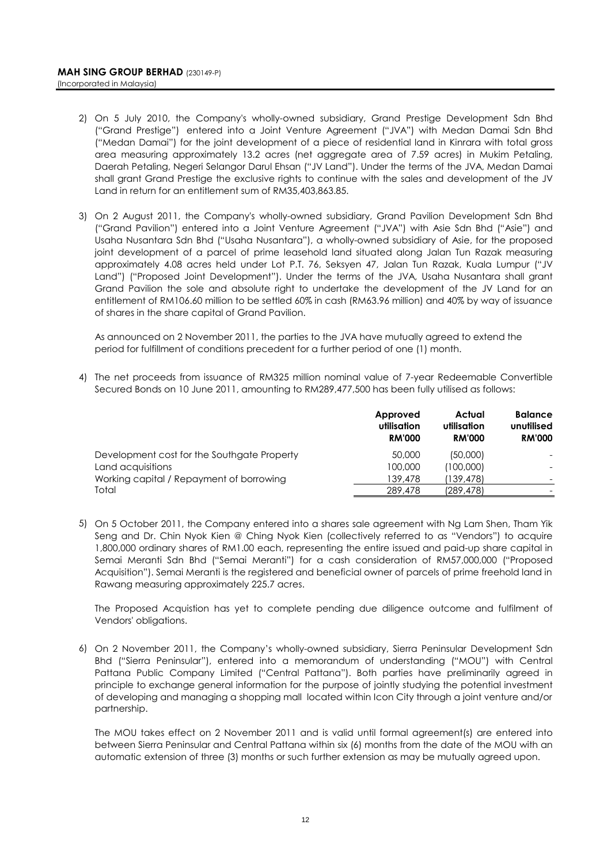- 2) On 5 July 2010, the Company's wholly-owned subsidiary, Grand Prestige Development Sdn Bhd ("Grand Prestige") entered into a Joint Venture Agreement ("JVA") with Medan Damai Sdn Bhd ("Medan Damai") for the joint development of a piece of residential land in Kinrara with total gross area measuring approximately 13.2 acres (net aggregate area of 7.59 acres) in Mukim Petaling, Daerah Petaling, Negeri Selangor Darul Ehsan ("JV Land"). Under the terms of the JVA, Medan Damai shall grant Grand Prestige the exclusive rights to continue with the sales and development of the JV Land in return for an entitlement sum of RM35,403,863.85.
- 3) On 2 August 2011, the Company's wholly-owned subsidiary, Grand Pavilion Development Sdn Bhd ("Grand Pavilion") entered into a Joint Venture Agreement ("JVA") with Asie Sdn Bhd ("Asie") and Usaha Nusantara Sdn Bhd ("Usaha Nusantara"), a wholly-owned subsidiary of Asie, for the proposed joint development of a parcel of prime leasehold land situated along Jalan Tun Razak measuring approximately 4.08 acres held under Lot P.T. 76, Seksyen 47, Jalan Tun Razak, Kuala Lumpur ("JV Land") ("Proposed Joint Development"). Under the terms of the JVA, Usaha Nusantara shall grant Grand Pavilion the sole and absolute right to undertake the development of the JV Land for an entitlement of RM106.60 million to be settled 60% in cash (RM63.96 million) and 40% by way of issuance of shares in the share capital of Grand Pavilion.

As announced on 2 November 2011, the parties to the JVA have mutually agreed to extend the period for fulfillment of conditions precedent for a further period of one (1) month.

4) The net proceeds from issuance of RM325 million nominal value of 7-year Redeemable Convertible Secured Bonds on 10 June 2011, amounting to RM289,477,500 has been fully utilised as follows:

|                                             | Approved<br>utilisation<br><b>RM'000</b> | Actual<br>utilisation<br><b>RM'000</b> | <b>Balance</b><br>unutilised<br><b>RM'000</b> |
|---------------------------------------------|------------------------------------------|----------------------------------------|-----------------------------------------------|
| Development cost for the Southgate Property | 50,000                                   | (50,000)                               |                                               |
| Land acquisitions                           | 100,000                                  | (100,000)                              |                                               |
| Working capital / Repayment of borrowing    | 139,478                                  | (139,478)                              |                                               |
| Total                                       | 289,478                                  | (289, 478)                             |                                               |

5) On 5 October 2011, the Company entered into a shares sale agreement with Ng Lam Shen, Tham Yik Seng and Dr. Chin Nyok Kien @ Ching Nyok Kien (collectively referred to as "Vendors") to acquire 1,800,000 ordinary shares of RM1.00 each, representing the entire issued and paid-up share capital in Semai Meranti Sdn Bhd ("Semai Meranti") for a cash consideration of RM57,000,000 ("Proposed Acquisition"). Semai Meranti is the registered and beneficial owner of parcels of prime freehold land in Rawang measuring approximately 225.7 acres.

The Proposed Acquistion has yet to complete pending due diligence outcome and fulfilment of Vendors' obligations.

6) On 2 November 2011, the Company's wholly-owned subsidiary, Sierra Peninsular Development Sdn Bhd ("Sierra Peninsular"), entered into a memorandum of understanding ("MOU") with Central Pattana Public Company Limited ("Central Pattana"). Both parties have preliminarily agreed in principle to exchange general information for the purpose of jointly studying the potential investment of developing and managing a shopping mall located within Icon City through a joint venture and/or partnership.

The MOU takes effect on 2 November 2011 and is valid until formal agreement(s) are entered into between Sierra Peninsular and Central Pattana within six (6) months from the date of the MOU with an automatic extension of three (3) months or such further extension as may be mutually agreed upon.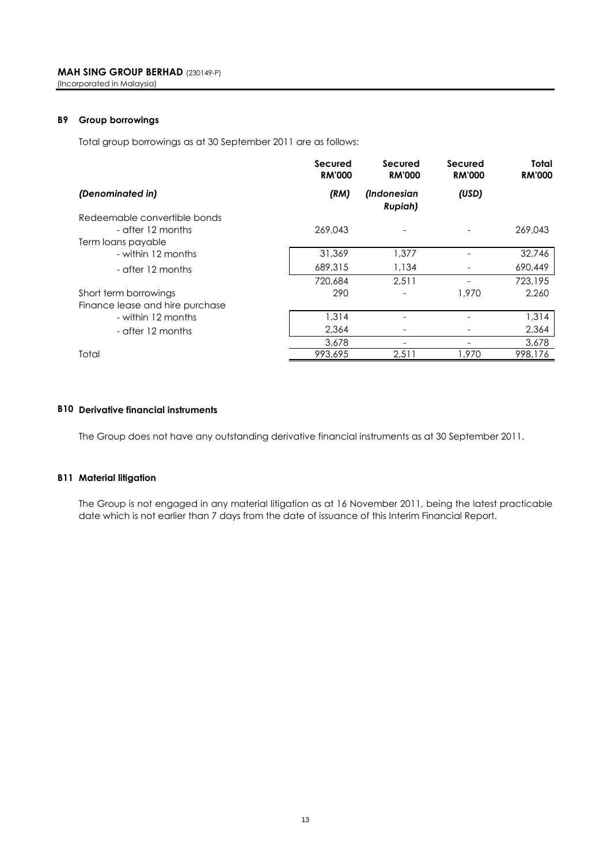### **B9 Group borrowings**

Total group borrowings as at 30 September 2011 are as follows:

|                                 | <b>Secured</b><br><b>RM'000</b> | Secured<br><b>RM'000</b>      | <b>Secured</b><br><b>RM'000</b> | Total<br><b>RM'000</b> |
|---------------------------------|---------------------------------|-------------------------------|---------------------------------|------------------------|
| (Denominated in)                | (RM)                            | (Indonesian<br><b>Rupiah)</b> | (USD)                           |                        |
| Redeemable convertible bonds    |                                 |                               |                                 |                        |
| - after 12 months               | 269,043                         |                               |                                 | 269,043                |
| Term loans payable              |                                 |                               |                                 |                        |
| - within 12 months              | 31,369                          | 1,377                         |                                 | 32,746                 |
| - after 12 months               | 689,315                         | 1,134                         |                                 | 690,449                |
|                                 | 720.684                         | 2.511                         |                                 | 723,195                |
| Short term borrowings           | 290                             |                               | 1,970                           | 2.260                  |
| Finance lease and hire purchase |                                 |                               |                                 |                        |
| - within 12 months              | 1,314                           |                               |                                 | 1,314                  |
| - after 12 months               | 2,364                           |                               |                                 | 2,364                  |
|                                 | 3,678                           | $\overline{\phantom{0}}$      |                                 | 3,678                  |
| Total                           | 993,695                         | 2,511                         | 1.970                           | 998,176                |

### **B10 Derivative financial instruments**

The Group does not have any outstanding derivative financial instruments as at 30 September 2011.

### **B11 Material litigation**

The Group is not engaged in any material litigation as at 16 November 2011, being the latest practicable date which is not earlier than 7 days from the date of issuance of this Interim Financial Report.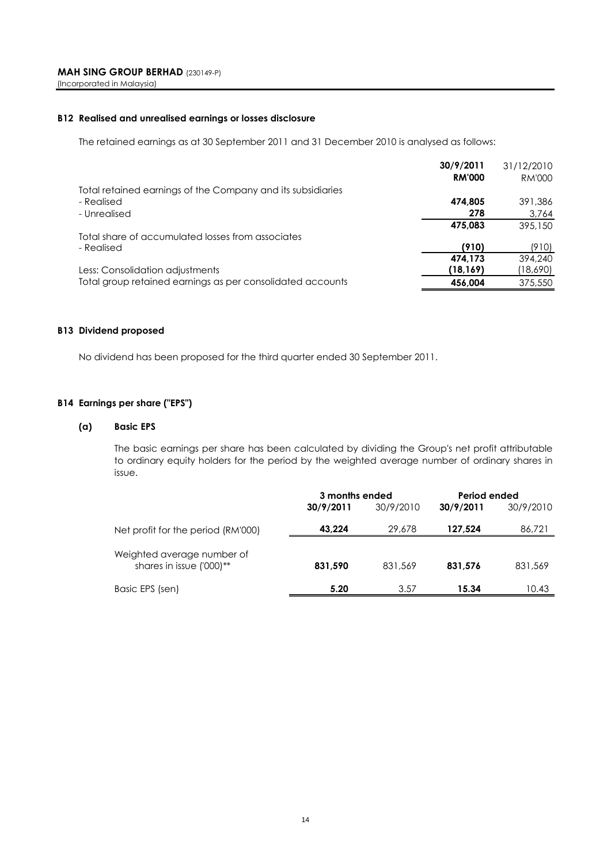### **B12 Realised and unrealised earnings or losses disclosure**

The retained earnings as at 30 September 2011 and 31 December 2010 is analysed as follows:

|                                                             | 30/9/2011     | 31/12/2010    |
|-------------------------------------------------------------|---------------|---------------|
|                                                             | <b>RM'000</b> | <b>RM'000</b> |
| Total retained earnings of the Company and its subsidiaries |               |               |
| - Realised                                                  | 474.805       | 391,386       |
| - Unrealised                                                | 278           | 3,764         |
|                                                             | 475.083       | 395,150       |
| Total share of accumulated losses from associates           |               |               |
| - Realised                                                  | (910)         | (910)         |
|                                                             | 474.173       | 394,240       |
| Less: Consolidation adjustments                             | (18,169)      | (18,690)      |
| Total group retained earnings as per consolidated accounts  | 456,004       | 375,550       |

### **B13 Dividend proposed**

No dividend has been proposed for the third quarter ended 30 September 2011.

### **B14 Earnings per share ("EPS")**

### **(a) Basic EPS**

The basic earnings per share has been calculated by dividing the Group's net profit attributable to ordinary equity holders for the period by the weighted average number of ordinary shares in issue.

|                                                        | 3 months ended |           | Period ended |           |
|--------------------------------------------------------|----------------|-----------|--------------|-----------|
|                                                        | 30/9/2011      | 30/9/2010 | 30/9/2011    | 30/9/2010 |
| Net profit for the period (RM'000)                     | 43.224         | 29,678    | 127.524      | 86,721    |
| Weighted average number of<br>shares in issue ('000)** | 831,590        | 831,569   | 831,576      | 831,569   |
| Basic EPS (sen)                                        | 5.20           | 3.57      | 15.34        | 10.43     |